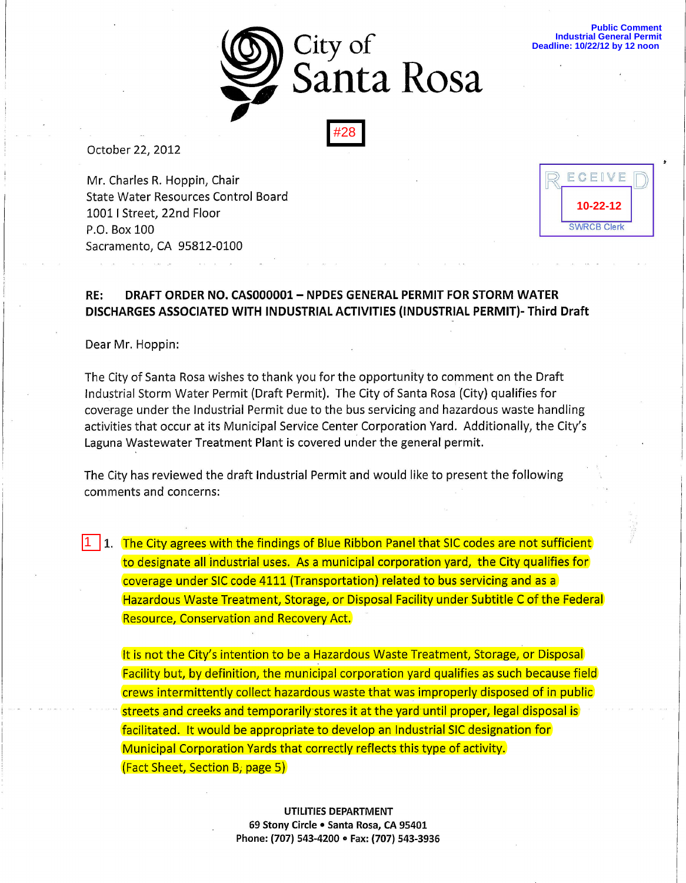

October 22, 2012

Mr. Charles R. Hoppin, Chair [R ECEP/E D) State Water Resources Control Board<br>1001 | Street, 22nd Floor<br>P O Box 100 10011 Street, 22nd Floor P.O. Box 100 Sacramento, CA 95812-0100

**10-22-12** SWRCB Clerk

**Public Comment Industrial General Permit Deadline: 10/22/12 by 12 noon** 

## RE: DRAFT ORDER NO. CAS000001- NPDES GENERAL PERMIT FOR STORM WATER DISCHARGES ASSOCIATED WITH INDUSTRIAL ACTIVITIES (INDUSTRIAL PERMIT)- Third Draft

Dear Mr. Hoppin:

1

The City of Santa Rosa wishes to thank you for the opportunity to comment on the Draft Industrial Storm Water Permit (Draft Permit). The City of Santa Rosa (City) qualifies for coverage under the Industrial Permit due to the bus servicing and hazardous waste handling activities that occur at its Municipal Service Center Corporation Yard. Additionally, the City's Laguna Wastewater Treatment Plant is covered under the general permit.

The City has reviewed the draft Industrial Permit and would like to present the following comments and concerns:

1. The City agrees with the findings of Blue Ribbon Panel that SIC codes are not sufficient to designate all industrial uses. As a municipal corporation yard, the City qualifies for coverage under SIC code 4111 (Transportation) related to bus servicing and as a Hazardous Waste Treatment, Storage, or Disposal Facility under Subtitle C of the Federal Resource, Conservation and Recovery Act.

It is not the City's intention to be a Hazardous Waste Treatment, Storage, or Disposal Facility but, by definition, the municipal corporation yard qualifies as such because field crews intermittently collect hazardous waste that was improperly disposed of in public streets and creeks and temporarily stores it at the yard until proper, legal disposal is facilitated. It would be appropriate to develop an Industrial SIC designation for Municipal Corporation Yards that correctly reflects this type of activity. (Fact Sheet, Section B, page 5)

> UTILITIES DEPARTMENT 69 Stony Circle . Santa Rosa, CA 95401 Phone: (707) 543-4200 • Fax: (707) 543-3936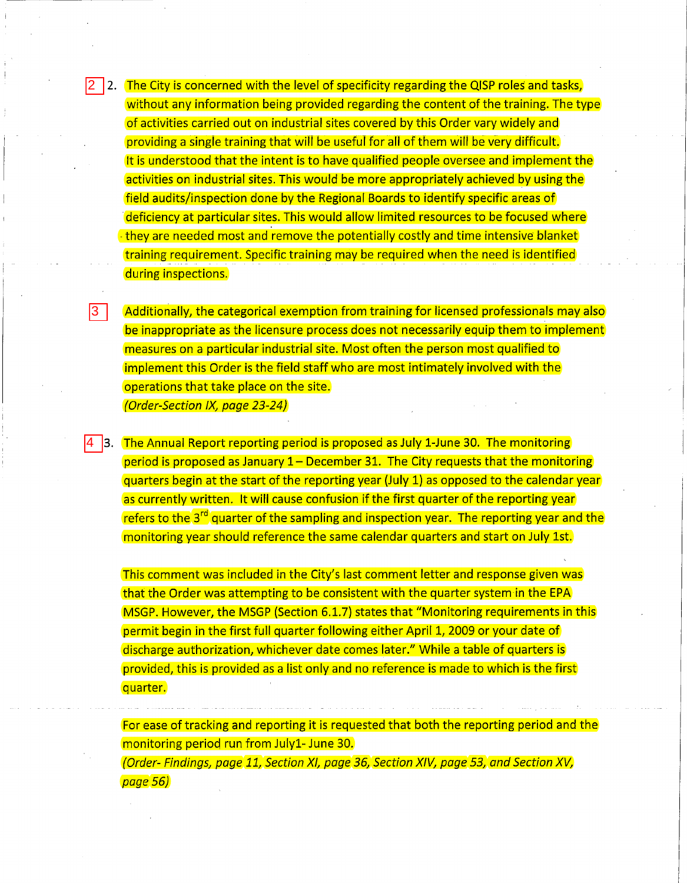$2\,$   $\,$   $\,$  2.  $\,$  The City is concerned with the level of specificity regarding the QISP roles and tasks, without any information being provided regarding the content of the training. The type of activities carried out on industrial sites covered by this Order vary Widely and providing a single training that will be useful for all of them will be very difficult. It is understood that the intent is to have qualified people oversee and implement the activities on industrial sites. This would be more appropriately achieved by using the field audits/inspection done by the Regional Boards to identify specific areas of deficiency at particular sites. This would allow limited resources to be focused where -they are needed most and remove the potentially costly and time intensive blanket training requirement. Specific training may be required when the need is identified during inspections.

Additionally, the categorical exemption from training for licensed professionals may also be inappropriate as the licensure process does not necessarily equip them to implement measures on a particular industrial site. Most often the person most qualified to implement this Order is the field staff who are most intimately involved with the operations that take place on the site. {Order-Section IX, page 23-24}

4 3. The Annual Report reporting period is proposed as July 1-June 30. The monitoring period is proposed as January  $1$  – December 31. The City requests that the monitoring quarters begin at the start of the reporting year (July 1) as opposed to the calendar year as currently written. It will cause confusion if the first quarter of the reporting year refers to the 3<sup>rd</sup> quarter of the sampling and inspection year. The reporting year and the monitoring year should reference the same calendar quarters and start on July 1st.

This comment was included in the City's last comment letter and response given was that the Order was attempting to be consistent with the quarter system in the EPA MSGP. However, the MSGP (Section 6.1.7) states that "Monitoring requirements in this permit begin in the first full quarter folloWing either April 1, 2009 or your date of discharge authorization, whichever date comes later." While a table of quarters is provided, this is provided as a list only and no reference is made to which is the first quarter.

For ease of tracking and reporting it is requested that both the reporting period and the monitoring period run from Julyl- June 30. {Order- Findings, page 11, Section XI, page 36, Section XlV, page 53, and Section Xv,

page 56}

3